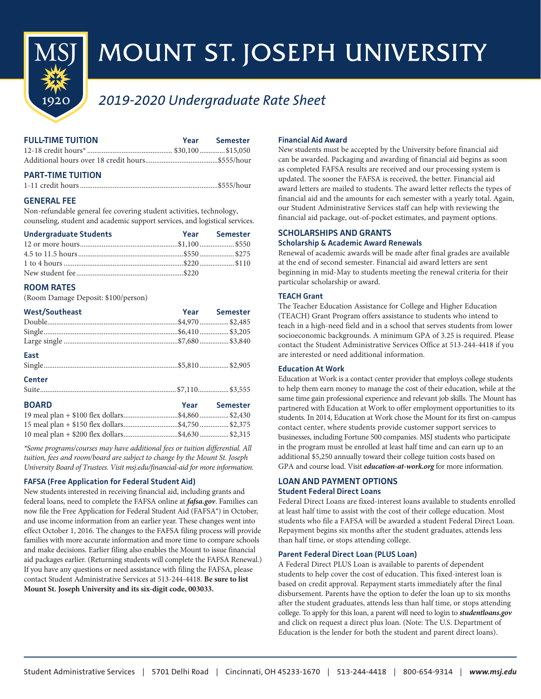

# MOUNT ST. JOSEPH UNIVERSITY

## *2019-2020 Undergraduate Rate Sheet*

| <b>FULL-TIME TUITION</b> | Year | Semester |
|--------------------------|------|----------|
|                          |      |          |
|                          |      |          |

## **PART-TIME TUITION**

## **GENERAL FEE**

Non-refundable general fee covering student activities, technology, counseling, student and academic support services, and logistical services.

| <b>Undergraduate Students</b> | Year Semester |
|-------------------------------|---------------|
|                               |               |
|                               |               |
|                               |               |
|                               |               |

## **ROOM RATES**

(Room Damage Deposit: \$100/person)

| <b>West/Southeast</b> | Year Semester |
|-----------------------|---------------|
|                       |               |
|                       |               |
|                       |               |
| East                  |               |
| <b>Center</b>         |               |
|                       |               |
| <b>BOARD</b>          | Year Semester |
|                       |               |
|                       |               |
|                       |               |

*\*Some programs/courses may have additional fees or tuition differential. All tuition, fees and room/board are subject to change by the Mount St. Joseph University Board of Trustees. Visit msj.edu/financial-aid for more information.*

## **FAFSA (Free Application for Federal Student Aid)**

New students interested in receiving financial aid, including grants and federal loans, need to complete the FAFSA online at *fafsa.gov*. Families can now file the Free Application for Federal Student Aid (FAFSA®) in October, and use income information from an earlier year. These changes went into effect October 1, 2016. The changes to the FAFSA filing process will provide families with more accurate information and more time to compare schools and make decisions. Earlier filing also enables the Mount to issue financial aid packages earlier. (Returning students will complete the FAFSA Renewal.) If you have any questions or need assistance with filing the FAFSA, please contact Student Administrative Services at 513-244-4418. **Be sure to list Mount St. Joseph University and its six-digit code, 003033.**

## **Financial Aid Award**

New students must be accepted by the University before financial aid can be awarded. Packaging and awarding of financial aid begins as soon as completed FAFSA results are received and our processing system is updated. The sooner the FAFSA is received, the better. Financial aid award letters are mailed to students. The award letter reflects the types of financial aid and the amounts for each semester with a yearly total. Again, our Student Administrative Services staff can help with reviewing the financial aid package, out-of-pocket estimates, and payment options.

## **SCHOLARSHIPS AND GRANTS Scholarship & Academic Award Renewals**

Renewal of academic awards will be made after final grades are available at the end of second semester. Financial aid award letters are sent beginning in mid-May to students meeting the renewal criteria for their particular scholarship or award.

## **TEACH Grant**

The Teacher Education Assistance for College and Higher Education (TEACH) Grant Program offers assistance to students who intend to teach in a high-need field and in a school that serves students from lower socioeconomic backgrounds. A minimum GPA of 3.25 is required. Please contact the Student Administrative Services Office at 513-244-4418 if you are interested or need additional information.

## **Education At Work**

Education at Work is a contact center provider that employs college students to help them earn money to manage the cost of their education, while at the same time gain professional experience and relevant job skills. The Mount has partnered with Education at Work to offer employment opportunities to its students. In 2014, Education at Work chose the Mount for its first on-campus contact center, where students provide customer support services to businesses, including Fortune 500 companies. MSJ students who participate in the program must be enrolled at least half time and can earn up to an additional \$5,250 annually toward their college tuition costs based on GPA and course load. Visit *education-at-work.org* for more information.

## **LOAN AND PAYMENT OPTIONS**

## **Student Federal Direct Loans**

Federal Direct Loans are fixed-interest loans available to students enrolled at least half time to assist with the cost of their college education. Most students who file a FAFSA will be awarded a student Federal Direct Loan. Repayment begins six months after the student graduates, attends less than half time, or stops attending college.

## **Parent Federal Direct Loan (PLUS Loan)**

A Federal Direct PLUS Loan is available to parents of dependent students to help cover the cost of education. This fixed-interest loan is based on credit approval. Repayment starts immediately after the final disbursement. Parents have the option to defer the loan up to six months after the student graduates, attends less than half time, or stops attending college. To apply for this loan, a parent will need to login to *studentloans.gov* and click on request a direct plus loan. (Note: The U.S. Department of Education is the lender for both the student and parent direct loans).